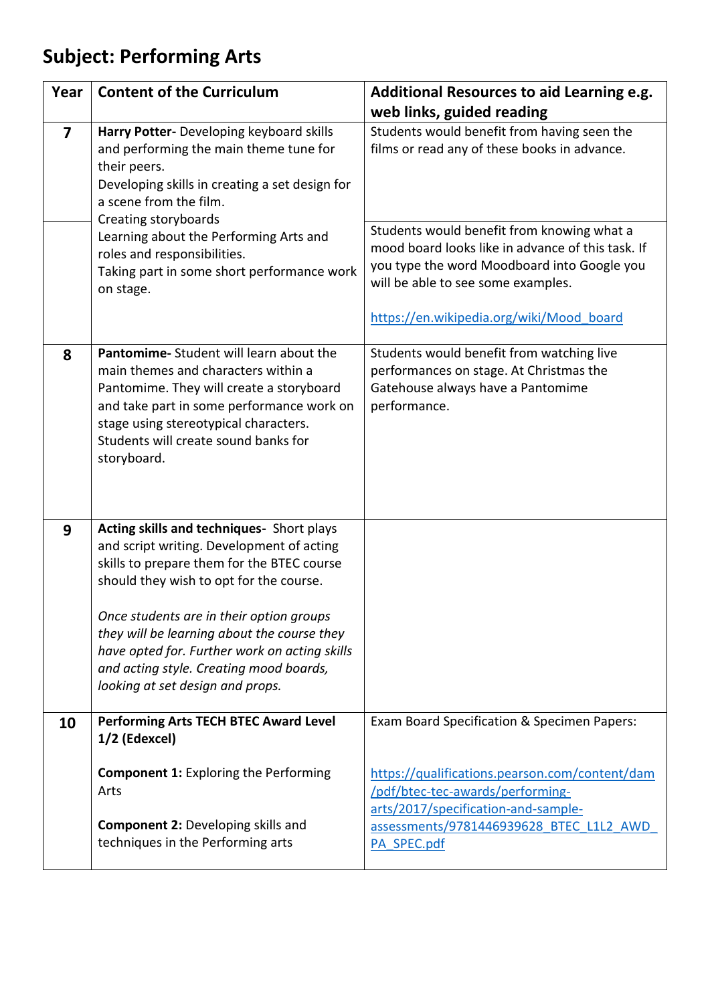## **Subject: Performing Arts**

| Year                    | <b>Content of the Curriculum</b>                                                                                                                                                                                                                                                                                                                                                                           | Additional Resources to aid Learning e.g.                                                                                                                                                                                                                                           |
|-------------------------|------------------------------------------------------------------------------------------------------------------------------------------------------------------------------------------------------------------------------------------------------------------------------------------------------------------------------------------------------------------------------------------------------------|-------------------------------------------------------------------------------------------------------------------------------------------------------------------------------------------------------------------------------------------------------------------------------------|
|                         |                                                                                                                                                                                                                                                                                                                                                                                                            | web links, guided reading                                                                                                                                                                                                                                                           |
| $\overline{\mathbf{z}}$ | Harry Potter- Developing keyboard skills<br>and performing the main theme tune for<br>their peers.<br>Developing skills in creating a set design for<br>a scene from the film.<br>Creating storyboards<br>Learning about the Performing Arts and<br>roles and responsibilities.<br>Taking part in some short performance work<br>on stage.                                                                 | Students would benefit from having seen the<br>films or read any of these books in advance.<br>Students would benefit from knowing what a<br>mood board looks like in advance of this task. If<br>you type the word Moodboard into Google you<br>will be able to see some examples. |
|                         |                                                                                                                                                                                                                                                                                                                                                                                                            | https://en.wikipedia.org/wiki/Mood board                                                                                                                                                                                                                                            |
| 8                       | Pantomime-Student will learn about the<br>main themes and characters within a<br>Pantomime. They will create a storyboard<br>and take part in some performance work on<br>stage using stereotypical characters.<br>Students will create sound banks for<br>storyboard.                                                                                                                                     | Students would benefit from watching live<br>performances on stage. At Christmas the<br>Gatehouse always have a Pantomime<br>performance.                                                                                                                                           |
| 9                       | Acting skills and techniques- Short plays<br>and script writing. Development of acting<br>skills to prepare them for the BTEC course<br>should they wish to opt for the course.<br>Once students are in their option groups<br>they will be learning about the course they<br>have opted for. Further work on acting skills<br>and acting style. Creating mood boards,<br>looking at set design and props. |                                                                                                                                                                                                                                                                                     |
| 10                      | <b>Performing Arts TECH BTEC Award Level</b><br>1/2 (Edexcel)                                                                                                                                                                                                                                                                                                                                              | Exam Board Specification & Specimen Papers:                                                                                                                                                                                                                                         |
|                         | <b>Component 1: Exploring the Performing</b><br>Arts<br><b>Component 2: Developing skills and</b>                                                                                                                                                                                                                                                                                                          | https://qualifications.pearson.com/content/dam<br>/pdf/btec-tec-awards/performing-<br>arts/2017/specification-and-sample-                                                                                                                                                           |
|                         | techniques in the Performing arts                                                                                                                                                                                                                                                                                                                                                                          | assessments/9781446939628 BTEC L1L2 AWD<br>PA SPEC.pdf                                                                                                                                                                                                                              |